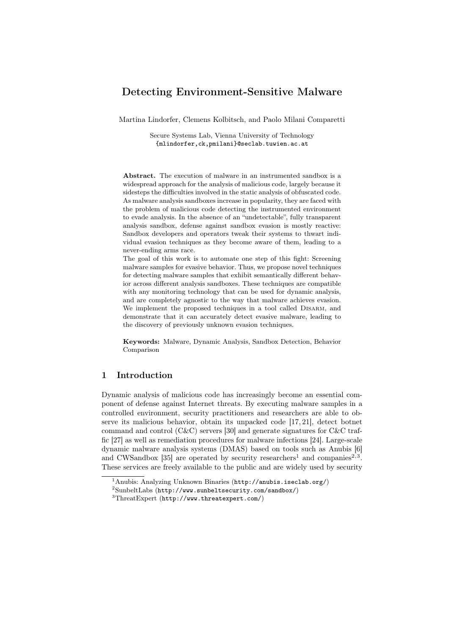# Detecting Environment-Sensitive Malware

Martina Lindorfer, Clemens Kolbitsch, and Paolo Milani Comparetti

Secure Systems Lab, Vienna University of Technology {mlindorfer,ck,pmilani}@seclab.tuwien.ac.at

Abstract. The execution of malware in an instrumented sandbox is a widespread approach for the analysis of malicious code, largely because it sidesteps the difficulties involved in the static analysis of obfuscated code. As malware analysis sandboxes increase in popularity, they are faced with the problem of malicious code detecting the instrumented environment to evade analysis. In the absence of an "undetectable", fully transparent analysis sandbox, defense against sandbox evasion is mostly reactive: Sandbox developers and operators tweak their systems to thwart individual evasion techniques as they become aware of them, leading to a never-ending arms race.

The goal of this work is to automate one step of this fight: Screening malware samples for evasive behavior. Thus, we propose novel techniques for detecting malware samples that exhibit semantically different behavior across different analysis sandboxes. These techniques are compatible with any monitoring technology that can be used for dynamic analysis, and are completely agnostic to the way that malware achieves evasion. We implement the proposed techniques in a tool called DISARM, and demonstrate that it can accurately detect evasive malware, leading to the discovery of previously unknown evasion techniques.

Keywords: Malware, Dynamic Analysis, Sandbox Detection, Behavior Comparison

# 1 Introduction

Dynamic analysis of malicious code has increasingly become an essential component of defense against Internet threats. By executing malware samples in a controlled environment, security practitioners and researchers are able to observe its malicious behavior, obtain its unpacked code [17, 21], detect botnet command and control (C&C) servers [30] and generate signatures for C&C traffic [27] as well as remediation procedures for malware infections [24]. Large-scale dynamic malware analysis systems (DMAS) based on tools such as Anubis [6] and CWS and box [35] are operated by security researchers<sup>1</sup> and companies<sup>2,3</sup>. These services are freely available to the public and are widely used by security

<sup>1</sup>Anubis: Analyzing Unknown Binaries (http://anubis.iseclab.org/)

 $2\text{SunbeltLabs}$  (http://www.sunbeltsecurity.com/sandbox/)

 $^3$ ThreatExpert (http://www.threatexpert.com/)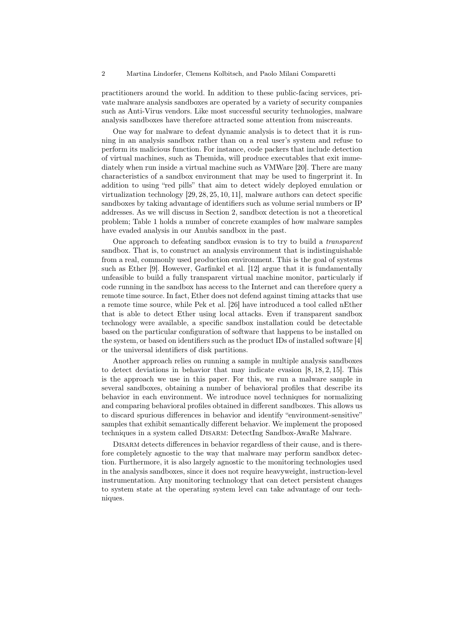practitioners around the world. In addition to these public-facing services, private malware analysis sandboxes are operated by a variety of security companies such as Anti-Virus vendors. Like most successful security technologies, malware analysis sandboxes have therefore attracted some attention from miscreants.

One way for malware to defeat dynamic analysis is to detect that it is running in an analysis sandbox rather than on a real user's system and refuse to perform its malicious function. For instance, code packers that include detection of virtual machines, such as Themida, will produce executables that exit immediately when run inside a virtual machine such as VMWare [20]. There are many characteristics of a sandbox environment that may be used to fingerprint it. In addition to using "red pills" that aim to detect widely deployed emulation or virtualization technology [29, 28, 25, 10, 11], malware authors can detect specific sandboxes by taking advantage of identifiers such as volume serial numbers or IP addresses. As we will discuss in Section 2, sandbox detection is not a theoretical problem; Table 1 holds a number of concrete examples of how malware samples have evaded analysis in our Anubis sandbox in the past.

One approach to defeating sandbox evasion is to try to build a transparent sandbox. That is, to construct an analysis environment that is indistinguishable from a real, commonly used production environment. This is the goal of systems such as Ether [9]. However, Garfinkel et al. [12] argue that it is fundamentally unfeasible to build a fully transparent virtual machine monitor, particularly if code running in the sandbox has access to the Internet and can therefore query a remote time source. In fact, Ether does not defend against timing attacks that use a remote time source, while Pek et al. [26] have introduced a tool called nEther that is able to detect Ether using local attacks. Even if transparent sandbox technology were available, a specific sandbox installation could be detectable based on the particular configuration of software that happens to be installed on the system, or based on identifiers such as the product IDs of installed software [4] or the universal identifiers of disk partitions.

Another approach relies on running a sample in multiple analysis sandboxes to detect deviations in behavior that may indicate evasion  $[8, 18, 2, 15]$ . This is the approach we use in this paper. For this, we run a malware sample in several sandboxes, obtaining a number of behavioral profiles that describe its behavior in each environment. We introduce novel techniques for normalizing and comparing behavioral profiles obtained in different sandboxes. This allows us to discard spurious differences in behavior and identify "environment-sensitive" samples that exhibit semantically different behavior. We implement the proposed techniques in a system called Disarm: DetectIng Sandbox-AwaRe Malware.

Disarm detects differences in behavior regardless of their cause, and is therefore completely agnostic to the way that malware may perform sandbox detection. Furthermore, it is also largely agnostic to the monitoring technologies used in the analysis sandboxes, since it does not require heavyweight, instruction-level instrumentation. Any monitoring technology that can detect persistent changes to system state at the operating system level can take advantage of our techniques.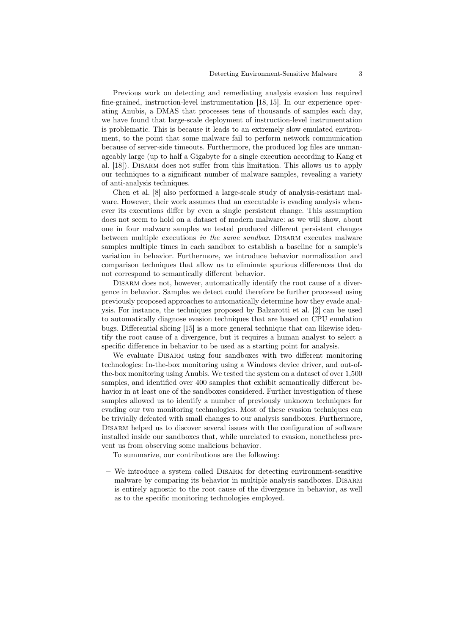Previous work on detecting and remediating analysis evasion has required fine-grained, instruction-level instrumentation [18, 15]. In our experience operating Anubis, a DMAS that processes tens of thousands of samples each day, we have found that large-scale deployment of instruction-level instrumentation is problematic. This is because it leads to an extremely slow emulated environment, to the point that some malware fail to perform network communication because of server-side timeouts. Furthermore, the produced log files are unmanageably large (up to half a Gigabyte for a single execution according to Kang et al. [18]). Disarm does not suffer from this limitation. This allows us to apply our techniques to a significant number of malware samples, revealing a variety of anti-analysis techniques.

Chen et al. [8] also performed a large-scale study of analysis-resistant malware. However, their work assumes that an executable is evading analysis whenever its executions differ by even a single persistent change. This assumption does not seem to hold on a dataset of modern malware: as we will show, about one in four malware samples we tested produced different persistent changes between multiple executions in the same sandbox. DISARM executes malware samples multiple times in each sandbox to establish a baseline for a sample's variation in behavior. Furthermore, we introduce behavior normalization and comparison techniques that allow us to eliminate spurious differences that do not correspond to semantically different behavior.

Disarm does not, however, automatically identify the root cause of a divergence in behavior. Samples we detect could therefore be further processed using previously proposed approaches to automatically determine how they evade analysis. For instance, the techniques proposed by Balzarotti et al. [2] can be used to automatically diagnose evasion techniques that are based on CPU emulation bugs. Differential slicing [15] is a more general technique that can likewise identify the root cause of a divergence, but it requires a human analyst to select a specific difference in behavior to be used as a starting point for analysis.

We evaluate DISARM using four sandboxes with two different monitoring technologies: In-the-box monitoring using a Windows device driver, and out-ofthe-box monitoring using Anubis. We tested the system on a dataset of over 1,500 samples, and identified over 400 samples that exhibit semantically different behavior in at least one of the sandboxes considered. Further investigation of these samples allowed us to identify a number of previously unknown techniques for evading our two monitoring technologies. Most of these evasion techniques can be trivially defeated with small changes to our analysis sandboxes. Furthermore, Disarm helped us to discover several issues with the configuration of software installed inside our sandboxes that, while unrelated to evasion, nonetheless prevent us from observing some malicious behavior.

To summarize, our contributions are the following:

– We introduce a system called Disarm for detecting environment-sensitive malware by comparing its behavior in multiple analysis sandboxes. DISARM is entirely agnostic to the root cause of the divergence in behavior, as well as to the specific monitoring technologies employed.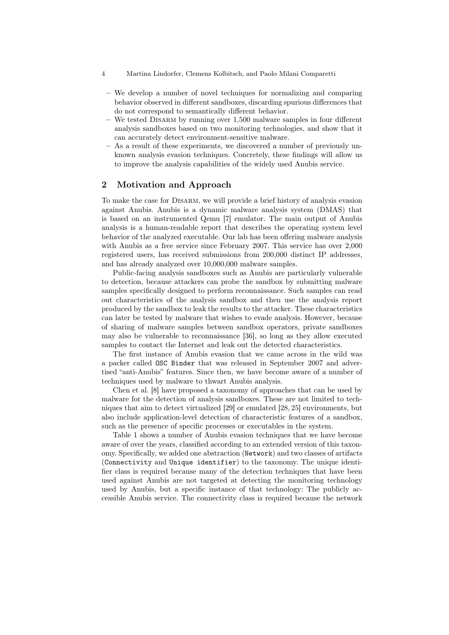- 4 Martina Lindorfer, Clemens Kolbitsch, and Paolo Milani Comparetti
	- We develop a number of novel techniques for normalizing and comparing behavior observed in different sandboxes, discarding spurious differences that do not correspond to semantically different behavior.
	- We tested Disarm by running over 1,500 malware samples in four different analysis sandboxes based on two monitoring technologies, and show that it can accurately detect environment-sensitive malware.
	- As a result of these experiments, we discovered a number of previously unknown analysis evasion techniques. Concretely, these findings will allow us to improve the analysis capabilities of the widely used Anubis service.

## 2 Motivation and Approach

To make the case for Disarm, we will provide a brief history of analysis evasion against Anubis. Anubis is a dynamic malware analysis system (DMAS) that is based on an instrumented Qemu [7] emulator. The main output of Anubis analysis is a human-readable report that describes the operating system level behavior of the analyzed executable. Our lab has been offering malware analysis with Anubis as a free service since February 2007. This service has over 2,000 registered users, has received submissions from 200,000 distinct IP addresses, and has already analyzed over 10,000,000 malware samples.

Public-facing analysis sandboxes such as Anubis are particularly vulnerable to detection, because attackers can probe the sandbox by submitting malware samples specifically designed to perform reconnaissance. Such samples can read out characteristics of the analysis sandbox and then use the analysis report produced by the sandbox to leak the results to the attacker. These characteristics can later be tested by malware that wishes to evade analysis. However, because of sharing of malware samples between sandbox operators, private sandboxes may also be vulnerable to reconnaissance [36], so long as they allow executed samples to contact the Internet and leak out the detected characteristics.

The first instance of Anubis evasion that we came across in the wild was a packer called OSC Binder that was released in September 2007 and advertised "anti-Anubis" features. Since then, we have become aware of a number of techniques used by malware to thwart Anubis analysis.

Chen et al. [8] have proposed a taxonomy of approaches that can be used by malware for the detection of analysis sandboxes. These are not limited to techniques that aim to detect virtualized [29] or emulated [28, 25] environments, but also include application-level detection of characteristic features of a sandbox, such as the presence of specific processes or executables in the system.

Table 1 shows a number of Anubis evasion techniques that we have become aware of over the years, classified according to an extended version of this taxonomy. Specifically, we added one abstraction (Network) and two classes of artifacts (Connectivity and Unique identifier) to the taxonomy. The unique identifier class is required because many of the detection techniques that have been used against Anubis are not targeted at detecting the monitoring technology used by Anubis, but a specific instance of that technology: The publicly accessible Anubis service. The connectivity class is required because the network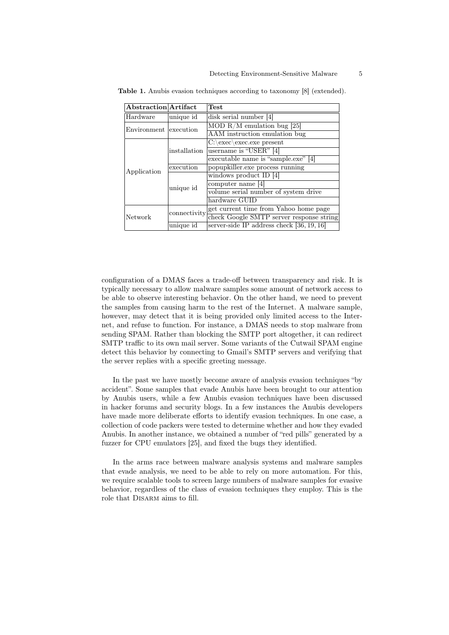| <b>Abstraction</b> Artifact |              | Test                                        |  |  |
|-----------------------------|--------------|---------------------------------------------|--|--|
| Hardware                    | unique id    | disk serial number [4]                      |  |  |
| Environment lexecution      |              | MOD $R/M$ emulation bug [25]                |  |  |
|                             |              | AAM instruction emulation bug               |  |  |
|                             | installation | $C:\csc\csc$ present                        |  |  |
|                             |              | username is "USER" [4]                      |  |  |
|                             |              | executable name is "sample.exe" $[4]$       |  |  |
| Application                 | execution    | popupkiller.exe process running             |  |  |
|                             | unique id    | windows product ID $[4]$                    |  |  |
|                             |              | computer name [4]                           |  |  |
|                             |              | volume serial number of system drive        |  |  |
|                             |              | hardware GUID                               |  |  |
|                             | connectivity | get current time from Yahoo home page       |  |  |
| Network                     |              | check Google SMTP server response string    |  |  |
|                             | unique id    | server-side IP address check $[36, 19, 16]$ |  |  |

Table 1. Anubis evasion techniques according to taxonomy [8] (extended).

configuration of a DMAS faces a trade-off between transparency and risk. It is typically necessary to allow malware samples some amount of network access to be able to observe interesting behavior. On the other hand, we need to prevent the samples from causing harm to the rest of the Internet. A malware sample, however, may detect that it is being provided only limited access to the Internet, and refuse to function. For instance, a DMAS needs to stop malware from sending SPAM. Rather than blocking the SMTP port altogether, it can redirect SMTP traffic to its own mail server. Some variants of the Cutwail SPAM engine detect this behavior by connecting to Gmail's SMTP servers and verifying that the server replies with a specific greeting message.

In the past we have mostly become aware of analysis evasion techniques "by accident". Some samples that evade Anubis have been brought to our attention by Anubis users, while a few Anubis evasion techniques have been discussed in hacker forums and security blogs. In a few instances the Anubis developers have made more deliberate efforts to identify evasion techniques. In one case, a collection of code packers were tested to determine whether and how they evaded Anubis. In another instance, we obtained a number of "red pills" generated by a fuzzer for CPU emulators [25], and fixed the bugs they identified.

In the arms race between malware analysis systems and malware samples that evade analysis, we need to be able to rely on more automation. For this, we require scalable tools to screen large numbers of malware samples for evasive behavior, regardless of the class of evasion techniques they employ. This is the role that DISARM aims to fill.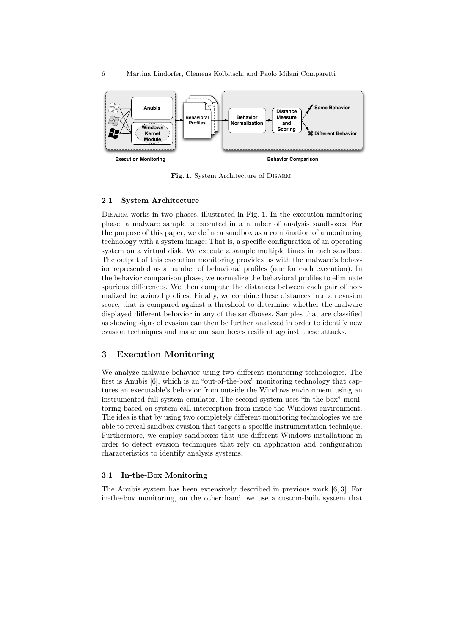

Fig. 1. System Architecture of Disarm.

#### 2.1 System Architecture

Disarm works in two phases, illustrated in Fig. 1. In the execution monitoring phase, a malware sample is executed in a number of analysis sandboxes. For the purpose of this paper, we define a sandbox as a combination of a monitoring technology with a system image: That is, a specific configuration of an operating system on a virtual disk. We execute a sample multiple times in each sandbox. The output of this execution monitoring provides us with the malware's behavior represented as a number of behavioral profiles (one for each execution). In the behavior comparison phase, we normalize the behavioral profiles to eliminate spurious differences. We then compute the distances between each pair of normalized behavioral profiles. Finally, we combine these distances into an evasion score, that is compared against a threshold to determine whether the malware displayed different behavior in any of the sandboxes. Samples that are classified as showing signs of evasion can then be further analyzed in order to identify new evasion techniques and make our sandboxes resilient against these attacks.

## 3 Execution Monitoring

We analyze malware behavior using two different monitoring technologies. The first is Anubis [6], which is an "out-of-the-box" monitoring technology that captures an executable's behavior from outside the Windows environment using an instrumented full system emulator. The second system uses "in-the-box" monitoring based on system call interception from inside the Windows environment. The idea is that by using two completely different monitoring technologies we are able to reveal sandbox evasion that targets a specific instrumentation technique. Furthermore, we employ sandboxes that use different Windows installations in order to detect evasion techniques that rely on application and configuration characteristics to identify analysis systems.

## 3.1 In-the-Box Monitoring

The Anubis system has been extensively described in previous work [6, 3]. For in-the-box monitoring, on the other hand, we use a custom-built system that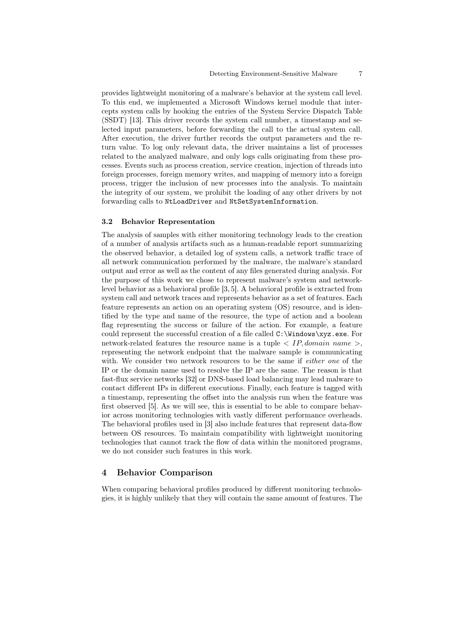provides lightweight monitoring of a malware's behavior at the system call level. To this end, we implemented a Microsoft Windows kernel module that intercepts system calls by hooking the entries of the System Service Dispatch Table (SSDT) [13]. This driver records the system call number, a timestamp and selected input parameters, before forwarding the call to the actual system call. After execution, the driver further records the output parameters and the return value. To log only relevant data, the driver maintains a list of processes related to the analyzed malware, and only logs calls originating from these processes. Events such as process creation, service creation, injection of threads into foreign processes, foreign memory writes, and mapping of memory into a foreign process, trigger the inclusion of new processes into the analysis. To maintain the integrity of our system, we prohibit the loading of any other drivers by not forwarding calls to NtLoadDriver and NtSetSystemInformation.

### 3.2 Behavior Representation

The analysis of samples with either monitoring technology leads to the creation of a number of analysis artifacts such as a human-readable report summarizing the observed behavior, a detailed log of system calls, a network traffic trace of all network communication performed by the malware, the malware's standard output and error as well as the content of any files generated during analysis. For the purpose of this work we chose to represent malware's system and networklevel behavior as a behavioral profile [3, 5]. A behavioral profile is extracted from system call and network traces and represents behavior as a set of features. Each feature represents an action on an operating system (OS) resource, and is identified by the type and name of the resource, the type of action and a boolean flag representing the success or failure of the action. For example, a feature could represent the successful creation of a file called C:\Windows\xyz.exe. For network-related features the resource name is a tuple  $\langle IP, domain\ name \rangle$ , representing the network endpoint that the malware sample is communicating with. We consider two network resources to be the same if *either one* of the IP or the domain name used to resolve the IP are the same. The reason is that fast-flux service networks [32] or DNS-based load balancing may lead malware to contact different IPs in different executions. Finally, each feature is tagged with a timestamp, representing the offset into the analysis run when the feature was first observed [5]. As we will see, this is essential to be able to compare behavior across monitoring technologies with vastly different performance overheads. The behavioral profiles used in [3] also include features that represent data-flow between OS resources. To maintain compatibility with lightweight monitoring technologies that cannot track the flow of data within the monitored programs, we do not consider such features in this work.

## 4 Behavior Comparison

When comparing behavioral profiles produced by different monitoring technologies, it is highly unlikely that they will contain the same amount of features. The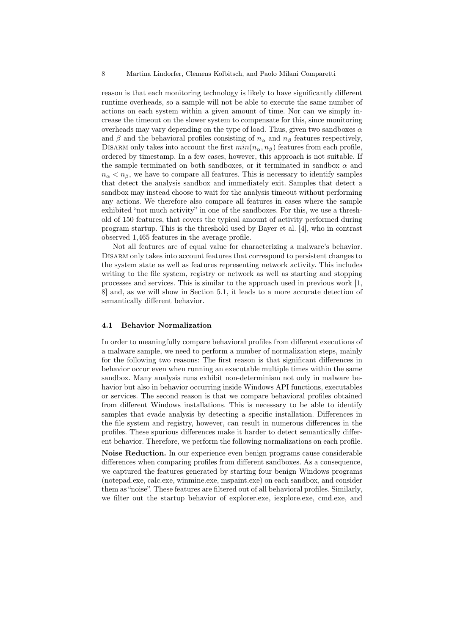reason is that each monitoring technology is likely to have significantly different runtime overheads, so a sample will not be able to execute the same number of actions on each system within a given amount of time. Nor can we simply increase the timeout on the slower system to compensate for this, since monitoring overheads may vary depending on the type of load. Thus, given two sandboxes  $\alpha$ and  $\beta$  and the behavioral profiles consisting of  $n_{\alpha}$  and  $n_{\beta}$  features respectively, DISARM only takes into account the first  $min(n_{\alpha}, n_{\beta})$  features from each profile, ordered by timestamp. In a few cases, however, this approach is not suitable. If the sample terminated on both sandboxes, or it terminated in sandbox  $\alpha$  and  $n_{\alpha} < n_{\beta}$ , we have to compare all features. This is necessary to identify samples that detect the analysis sandbox and immediately exit. Samples that detect a sandbox may instead choose to wait for the analysis timeout without performing any actions. We therefore also compare all features in cases where the sample exhibited "not much activity" in one of the sandboxes. For this, we use a threshold of 150 features, that covers the typical amount of activity performed during program startup. This is the threshold used by Bayer et al. [4], who in contrast observed 1,465 features in the average profile.

Not all features are of equal value for characterizing a malware's behavior. Disarm only takes into account features that correspond to persistent changes to the system state as well as features representing network activity. This includes writing to the file system, registry or network as well as starting and stopping processes and services. This is similar to the approach used in previous work [1, 8] and, as we will show in Section 5.1, it leads to a more accurate detection of semantically different behavior.

### 4.1 Behavior Normalization

In order to meaningfully compare behavioral profiles from different executions of a malware sample, we need to perform a number of normalization steps, mainly for the following two reasons: The first reason is that significant differences in behavior occur even when running an executable multiple times within the same sandbox. Many analysis runs exhibit non-determinism not only in malware behavior but also in behavior occurring inside Windows API functions, executables or services. The second reason is that we compare behavioral profiles obtained from different Windows installations. This is necessary to be able to identify samples that evade analysis by detecting a specific installation. Differences in the file system and registry, however, can result in numerous differences in the profiles. These spurious differences make it harder to detect semantically different behavior. Therefore, we perform the following normalizations on each profile.

Noise Reduction. In our experience even benign programs cause considerable differences when comparing profiles from different sandboxes. As a consequence, we captured the features generated by starting four benign Windows programs (notepad.exe, calc.exe, winmine.exe, mspaint.exe) on each sandbox, and consider them as "noise". These features are filtered out of all behavioral profiles. Similarly, we filter out the startup behavior of explorer.exe, iexplore.exe, cmd.exe, and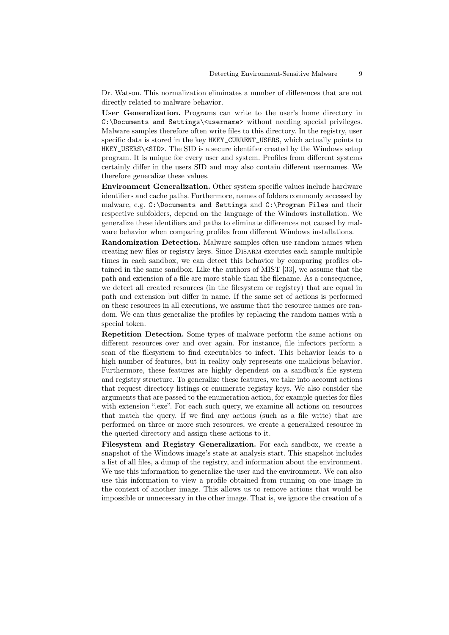Dr. Watson. This normalization eliminates a number of differences that are not directly related to malware behavior.

User Generalization. Programs can write to the user's home directory in C:\Documents and Settings\<username> without needing special privileges. Malware samples therefore often write files to this directory. In the registry, user specific data is stored in the key HKEY\_CURRENT\_USERS, which actually points to HKEY\_USERS\<SID>. The SID is a secure identifier created by the Windows setup program. It is unique for every user and system. Profiles from different systems certainly differ in the users SID and may also contain different usernames. We therefore generalize these values.

Environment Generalization. Other system specific values include hardware identifiers and cache paths. Furthermore, names of folders commonly accessed by malware, e.g. C:\Documents and Settings and C:\Program Files and their respective subfolders, depend on the language of the Windows installation. We generalize these identifiers and paths to eliminate differences not caused by malware behavior when comparing profiles from different Windows installations.

Randomization Detection. Malware samples often use random names when creating new files or registry keys. Since Disarm executes each sample multiple times in each sandbox, we can detect this behavior by comparing profiles obtained in the same sandbox. Like the authors of MIST [33], we assume that the path and extension of a file are more stable than the filename. As a consequence, we detect all created resources (in the filesystem or registry) that are equal in path and extension but differ in name. If the same set of actions is performed on these resources in all executions, we assume that the resource names are random. We can thus generalize the profiles by replacing the random names with a special token.

Repetition Detection. Some types of malware perform the same actions on different resources over and over again. For instance, file infectors perform a scan of the filesystem to find executables to infect. This behavior leads to a high number of features, but in reality only represents one malicious behavior. Furthermore, these features are highly dependent on a sandbox's file system and registry structure. To generalize these features, we take into account actions that request directory listings or enumerate registry keys. We also consider the arguments that are passed to the enumeration action, for example queries for files with extension ".exe". For each such query, we examine all actions on resources that match the query. If we find any actions (such as a file write) that are performed on three or more such resources, we create a generalized resource in the queried directory and assign these actions to it.

Filesystem and Registry Generalization. For each sandbox, we create a snapshot of the Windows image's state at analysis start. This snapshot includes a list of all files, a dump of the registry, and information about the environment. We use this information to generalize the user and the environment. We can also use this information to view a profile obtained from running on one image in the context of another image. This allows us to remove actions that would be impossible or unnecessary in the other image. That is, we ignore the creation of a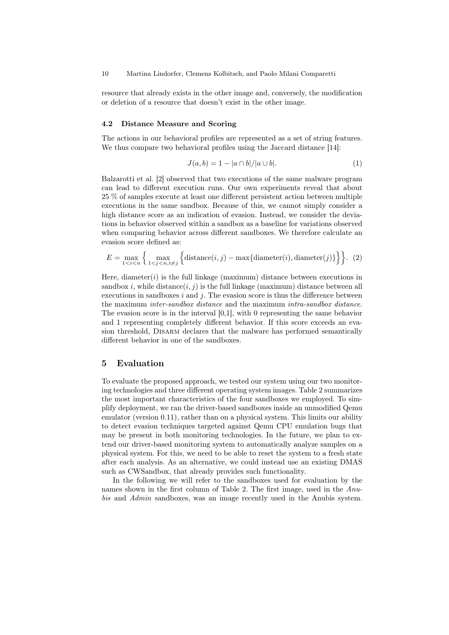resource that already exists in the other image and, conversely, the modification or deletion of a resource that doesn't exist in the other image.

#### 4.2 Distance Measure and Scoring

The actions in our behavioral profiles are represented as a set of string features. We thus compare two behavioral profiles using the Jaccard distance [14]:

$$
J(a, b) = 1 - |a \cap b| / |a \cup b|.
$$
 (1)

Balzarotti et al. [2] observed that two executions of the same malware program can lead to different execution runs. Our own experiments reveal that about 25 % of samples execute at least one different persistent action between multiple executions in the same sandbox. Because of this, we cannot simply consider a high distance score as an indication of evasion. Instead, we consider the deviations in behavior observed within a sandbox as a baseline for variations observed when comparing behavior across different sandboxes. We therefore calculate an evasion score defined as:

$$
E = \max_{1 < i < n} \left\{ \max_{1 < j < n, i \neq j} \left\{ \text{distance}(i, j) - \max\{\text{diameter}(i), \text{diameter}(j)\} \right\} \right\}. \tag{2}
$$

Here, diameter $(i)$  is the full linkage (maximum) distance between executions in sandbox i, while distance $(i, j)$  is the full linkage (maximum) distance between all executions in sandboxes  $i$  and  $j$ . The evasion score is thus the difference between the maximum inter-sandbox distance and the maximum intra-sandbox distance. The evasion score is in the interval [0,1], with 0 representing the same behavior and 1 representing completely different behavior. If this score exceeds an evasion threshold, Disarm declares that the malware has performed semantically different behavior in one of the sandboxes.

## 5 Evaluation

To evaluate the proposed approach, we tested our system using our two monitoring technologies and three different operating system images. Table 2 summarizes the most important characteristics of the four sandboxes we employed. To simplify deployment, we ran the driver-based sandboxes inside an unmodified Qemu emulator (version 0.11), rather than on a physical system. This limits our ability to detect evasion techniques targeted against Qemu CPU emulation bugs that may be present in both monitoring technologies. In the future, we plan to extend our driver-based monitoring system to automatically analyze samples on a physical system. For this, we need to be able to reset the system to a fresh state after each analysis. As an alternative, we could instead use an existing DMAS such as CWSandbox, that already provides such functionality.

In the following we will refer to the sandboxes used for evaluation by the names shown in the first column of Table 2. The first image, used in the Anubis and Admin sandboxes, was an image recently used in the Anubis system.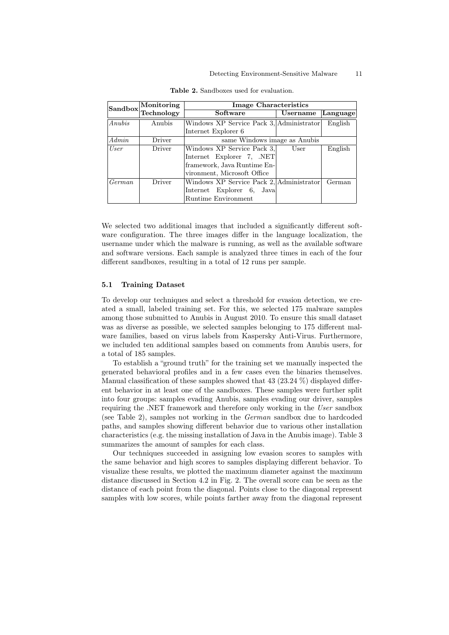|        | Monitoring                                     | <b>Image Characteristics</b>             |          |          |
|--------|------------------------------------------------|------------------------------------------|----------|----------|
|        | $ \mathbf{Sandbox} \mathbf{\hat{T}echnology}}$ | Software                                 | Username | Language |
| Anubis | Anubis                                         | Windows XP Service Pack 3, Administrator |          | English  |
|        |                                                | Internet Explorer 6                      |          |          |
| Admin  | Driver                                         | same Windows image as Anubis             |          |          |
| User   | Driver                                         | Windows XP Service Pack 3,               | User     | English  |
|        |                                                | Internet Explorer 7, .NET                |          |          |
|        |                                                | framework, Java Runtime En-              |          |          |
|        |                                                | vironment, Microsoft Office              |          |          |
| German | Driver                                         | Windows XP Service Pack 2, Administrator |          | German   |
|        |                                                | Internet Explorer 6, Java                |          |          |
|        |                                                | Runtime Environment                      |          |          |

Table 2. Sandboxes used for evaluation.

We selected two additional images that included a significantly different software configuration. The three images differ in the language localization, the username under which the malware is running, as well as the available software and software versions. Each sample is analyzed three times in each of the four different sandboxes, resulting in a total of 12 runs per sample.

### 5.1 Training Dataset

To develop our techniques and select a threshold for evasion detection, we created a small, labeled training set. For this, we selected 175 malware samples among those submitted to Anubis in August 2010. To ensure this small dataset was as diverse as possible, we selected samples belonging to 175 different malware families, based on virus labels from Kaspersky Anti-Virus. Furthermore, we included ten additional samples based on comments from Anubis users, for a total of 185 samples.

To establish a "ground truth" for the training set we manually inspected the generated behavioral profiles and in a few cases even the binaries themselves. Manual classification of these samples showed that 43 (23.24 %) displayed different behavior in at least one of the sandboxes. These samples were further split into four groups: samples evading Anubis, samples evading our driver, samples requiring the .NET framework and therefore only working in the User sandbox (see Table 2), samples not working in the German sandbox due to hardcoded paths, and samples showing different behavior due to various other installation characteristics (e.g. the missing installation of Java in the Anubis image). Table 3 summarizes the amount of samples for each class.

Our techniques succeeded in assigning low evasion scores to samples with the same behavior and high scores to samples displaying different behavior. To visualize these results, we plotted the maximum diameter against the maximum distance discussed in Section 4.2 in Fig. 2. The overall score can be seen as the distance of each point from the diagonal. Points close to the diagonal represent samples with low scores, while points farther away from the diagonal represent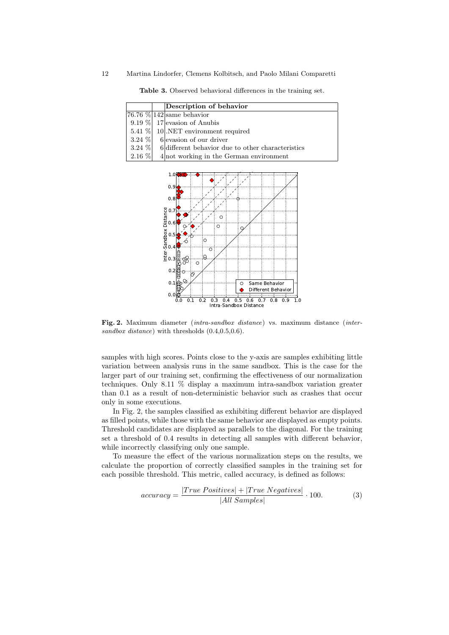Table 3. Observed behavioral differences in the training set.

|          | Description of behavior                           |
|----------|---------------------------------------------------|
|          | 76.76 $\%$ 142 same behavior                      |
|          | 9.19 $\%$ 17 evasion of Anubis                    |
|          | 5.41 $\%$ 10. NET environment required            |
|          | $3.24\%$ 6 evasion of our driver                  |
| $3.24\%$ | 6 different behavior due to other characteristics |
| $2.16\%$ | $4 not$ working in the German environment         |
|          |                                                   |



Fig. 2. Maximum diameter (intra-sandbox distance) vs. maximum distance (intersandbox distance) with thresholds  $(0.4, 0.5, 0.6)$ .

samples with high scores. Points close to the y-axis are samples exhibiting little variation between analysis runs in the same sandbox. This is the case for the larger part of our training set, confirming the effectiveness of our normalization techniques. Only 8.11 % display a maximum intra-sandbox variation greater than 0.1 as a result of non-deterministic behavior such as crashes that occur only in some executions.

In Fig. 2, the samples classified as exhibiting different behavior are displayed as filled points, while those with the same behavior are displayed as empty points. Threshold candidates are displayed as parallels to the diagonal. For the training set a threshold of 0.4 results in detecting all samples with different behavior, while incorrectly classifying only one sample.

To measure the effect of the various normalization steps on the results, we calculate the proportion of correctly classified samples in the training set for each possible threshold. This metric, called accuracy, is defined as follows:

$$
accuracy = \frac{|True\;Positives| + |True\;Negatives|}{|All\;Samples|} \cdot 100. \tag{3}
$$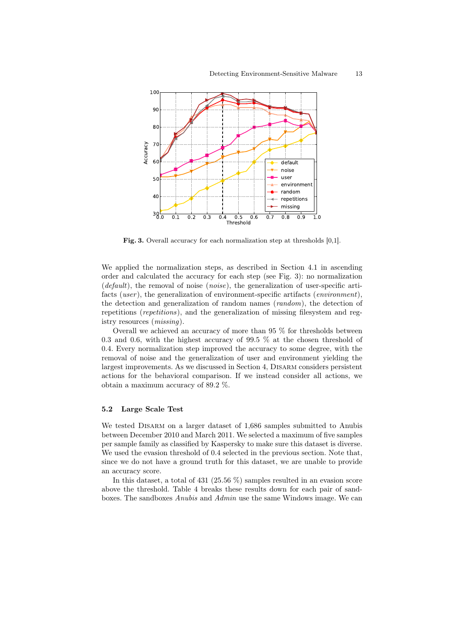

Fig. 3. Overall accuracy for each normalization step at thresholds [0,1].

We applied the normalization steps, as described in Section 4.1 in ascending order and calculated the accuracy for each step (see Fig. 3): no normalization (*default*), the removal of noise (*noise*), the generalization of user-specific artifacts (*user*), the generalization of environment-specific artifacts (*environment*), the detection and generalization of random names (random), the detection of repetitions (repetitions), and the generalization of missing filesystem and registry resources (missing).

Overall we achieved an accuracy of more than 95 % for thresholds between 0.3 and 0.6, with the highest accuracy of 99.5 % at the chosen threshold of 0.4. Every normalization step improved the accuracy to some degree, with the removal of noise and the generalization of user and environment yielding the largest improvements. As we discussed in Section 4, DISARM considers persistent actions for the behavioral comparison. If we instead consider all actions, we obtain a maximum accuracy of 89.2 %.

## 5.2 Large Scale Test

We tested DISARM on a larger dataset of 1,686 samples submitted to Anubis between December 2010 and March 2011. We selected a maximum of five samples per sample family as classified by Kaspersky to make sure this dataset is diverse. We used the evasion threshold of 0.4 selected in the previous section. Note that, since we do not have a ground truth for this dataset, we are unable to provide an accuracy score.

In this dataset, a total of 431 (25.56 %) samples resulted in an evasion score above the threshold. Table 4 breaks these results down for each pair of sandboxes. The sandboxes Anubis and Admin use the same Windows image. We can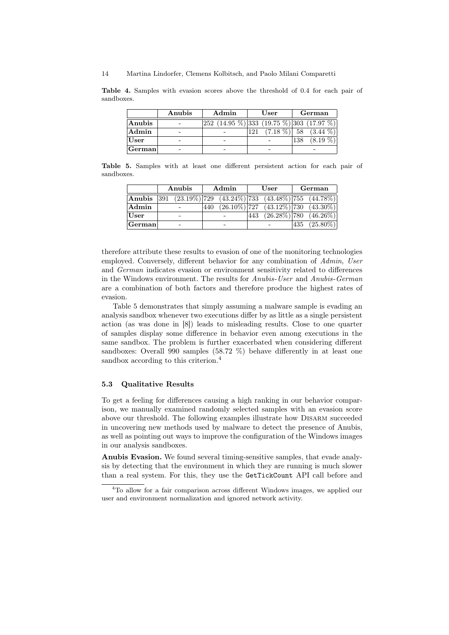Table 4. Samples with evasion scores above the threshold of 0.4 for each pair of sandboxes.

|        | Anubis | Admin                                                                                                                                        | User              | German            |
|--------|--------|----------------------------------------------------------------------------------------------------------------------------------------------|-------------------|-------------------|
| Anubis |        | $\left 252\right\rangle(14.95\ \%\right)\left 333\right\rangle(19.75\ \%\right)\left 303\right\rangle(17.97\ \%\right)\left 30\right\rangle$ |                   |                   |
| Admin  |        |                                                                                                                                              | $(7.18\%)$<br>121 | $(3.44\%)$<br>58  |
| User   |        |                                                                                                                                              |                   | $(8.19\%)$<br>138 |
| German |        |                                                                                                                                              |                   |                   |

Table 5. Samples with at least one different persistent action for each pair of sandboxes.

|        | Anubis | Admin | User                                                              | German                      |
|--------|--------|-------|-------------------------------------------------------------------|-----------------------------|
|        |        |       | Anubis 391 (23.19%) 729 (43.24%) 733 (43.48%) 755 (44.78%)        |                             |
| Admin  |        |       | $\boxed{440 \ (26.10\%) \,  727 \ (43.12\%) \,  730 \ (43.30\%)}$ |                             |
| User   |        |       | 443                                                               | $(26.28\%)$ 780 $(46.26\%)$ |
| German |        |       |                                                                   | $ 435 \quad (25.80\%) $     |

therefore attribute these results to evasion of one of the monitoring technologies employed. Conversely, different behavior for any combination of Admin, User and German indicates evasion or environment sensitivity related to differences in the Windows environment. The results for Anubis-User and Anubis-German are a combination of both factors and therefore produce the highest rates of evasion.

Table 5 demonstrates that simply assuming a malware sample is evading an analysis sandbox whenever two executions differ by as little as a single persistent action (as was done in [8]) leads to misleading results. Close to one quarter of samples display some difference in behavior even among executions in the same sandbox. The problem is further exacerbated when considering different sandboxes: Overall 990 samples (58.72 %) behave differently in at least one sandbox according to this criterion.<sup>4</sup>

### 5.3 Qualitative Results

To get a feeling for differences causing a high ranking in our behavior comparison, we manually examined randomly selected samples with an evasion score above our threshold. The following examples illustrate how DISARM succeeded in uncovering new methods used by malware to detect the presence of Anubis, as well as pointing out ways to improve the configuration of the Windows images in our analysis sandboxes.

Anubis Evasion. We found several timing-sensitive samples, that evade analysis by detecting that the environment in which they are running is much slower than a real system. For this, they use the GetTickCount API call before and

<sup>4</sup>To allow for a fair comparison across different Windows images, we applied our user and environment normalization and ignored network activity.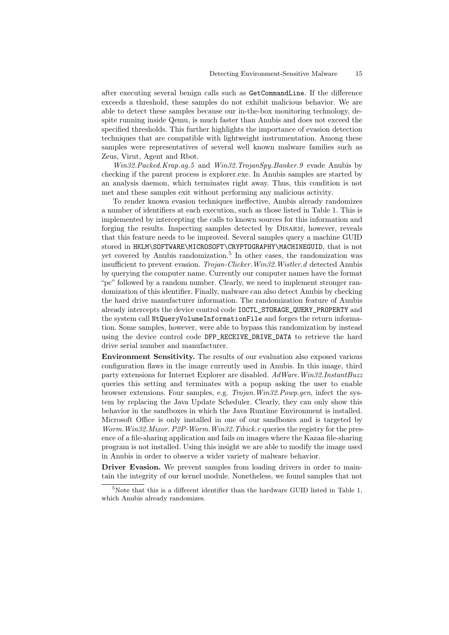after executing several benign calls such as GetCommandLine. If the difference exceeds a threshold, these samples do not exhibit malicious behavior. We are able to detect these samples because our in-the-box monitoring technology, despite running inside Qemu, is much faster than Anubis and does not exceed the specified thresholds. This further highlights the importance of evasion detection techniques that are compatible with lightweight instrumentation. Among these samples were representatives of several well known malware families such as Zeus, Virut, Agent and Rbot.

Win32.Packed.Krap.ag.5 and Win32.TrojanSpy.Banker.9 evade Anubis by checking if the parent process is explorer.exe. In Anubis samples are started by an analysis daemon, which terminates right away. Thus, this condition is not met and these samples exit without performing any malicious activity.

To render known evasion techniques ineffective, Anubis already randomizes a number of identifiers at each execution, such as those listed in Table 1. This is implemented by intercepting the calls to known sources for this information and forging the results. Inspecting samples detected by Disarm, however, reveals that this feature needs to be improved. Several samples query a machine GUID stored in HKLM\SOFTWARE\MICROSOFT\CRYPTOGRAPHY\MACHINEGUID, that is not yet covered by Anubis randomization.<sup>5</sup> In other cases, the randomization was insufficient to prevent evasion. Trojan-Clicker.Win32.Wistler.d detected Anubis by querying the computer name. Currently our computer names have the format "pc" followed by a random number. Clearly, we need to implement stronger randomization of this identifier. Finally, malware can also detect Anubis by checking the hard drive manufacturer information. The randomization feature of Anubis already intercepts the device control code IOCTL\_STORAGE\_QUERY\_PROPERTY and the system call NtQueryVolumeInformationFile and forges the return information. Some samples, however, were able to bypass this randomization by instead using the device control code DFP\_RECEIVE\_DRIVE\_DATA to retrieve the hard drive serial number and manufacturer.

Environment Sensitivity. The results of our evaluation also exposed various configuration flaws in the image currently used in Anubis. In this image, third party extensions for Internet Explorer are disabled. AdWare. Win32.InstantBuzz queries this setting and terminates with a popup asking the user to enable browser extensions. Four samples, e.g. Trojan.Win32.Powp.gen, infect the system by replacing the Java Update Scheduler. Clearly, they can only show this behavior in the sandboxes in which the Java Runtime Environment is installed. Microsoft Office is only installed in one of our sandboxes and is targeted by Worm. Win32. Mixor. P2P-Worm. Win32. Tibick.c queries the registry for the presence of a file-sharing application and fails on images where the Kazaa file-sharing program is not installed. Using this insight we are able to modify the image used in Anubis in order to observe a wider variety of malware behavior.

Driver Evasion. We prevent samples from loading drivers in order to maintain the integrity of our kernel module. Nonetheless, we found samples that not

 $5$ Note that this is a different identifier than the hardware GUID listed in Table 1, which Anubis already randomizes.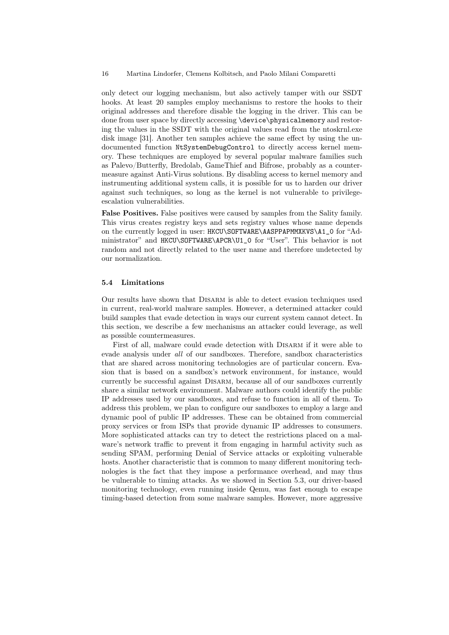only detect our logging mechanism, but also actively tamper with our SSDT hooks. At least 20 samples employ mechanisms to restore the hooks to their original addresses and therefore disable the logging in the driver. This can be done from user space by directly accessing \device\physicalmemory and restoring the values in the SSDT with the original values read from the ntoskrnl.exe disk image [31]. Another ten samples achieve the same effect by using the undocumented function NtSystemDebugControl to directly access kernel memory. These techniques are employed by several popular malware families such as Palevo/Butterfly, Bredolab, GameThief and Bifrose, probably as a countermeasure against Anti-Virus solutions. By disabling access to kernel memory and instrumenting additional system calls, it is possible for us to harden our driver against such techniques, so long as the kernel is not vulnerable to privilegeescalation vulnerabilities.

False Positives. False positives were caused by samples from the Sality family. This virus creates registry keys and sets registry values whose name depends on the currently logged in user: HKCU\SOFTWARE\AASPPAPMMXKVS\A1\_0 for "Administrator" and HKCU\SOFTWARE\APCR\U1\_0 for "User". This behavior is not random and not directly related to the user name and therefore undetected by our normalization.

#### 5.4 Limitations

Our results have shown that Disarm is able to detect evasion techniques used in current, real-world malware samples. However, a determined attacker could build samples that evade detection in ways our current system cannot detect. In this section, we describe a few mechanisms an attacker could leverage, as well as possible countermeasures.

First of all, malware could evade detection with Disarm if it were able to evade analysis under all of our sandboxes. Therefore, sandbox characteristics that are shared across monitoring technologies are of particular concern. Evasion that is based on a sandbox's network environment, for instance, would currently be successful against Disarm, because all of our sandboxes currently share a similar network environment. Malware authors could identify the public IP addresses used by our sandboxes, and refuse to function in all of them. To address this problem, we plan to configure our sandboxes to employ a large and dynamic pool of public IP addresses. These can be obtained from commercial proxy services or from ISPs that provide dynamic IP addresses to consumers. More sophisticated attacks can try to detect the restrictions placed on a malware's network traffic to prevent it from engaging in harmful activity such as sending SPAM, performing Denial of Service attacks or exploiting vulnerable hosts. Another characteristic that is common to many different monitoring technologies is the fact that they impose a performance overhead, and may thus be vulnerable to timing attacks. As we showed in Section 5.3, our driver-based monitoring technology, even running inside Qemu, was fast enough to escape timing-based detection from some malware samples. However, more aggressive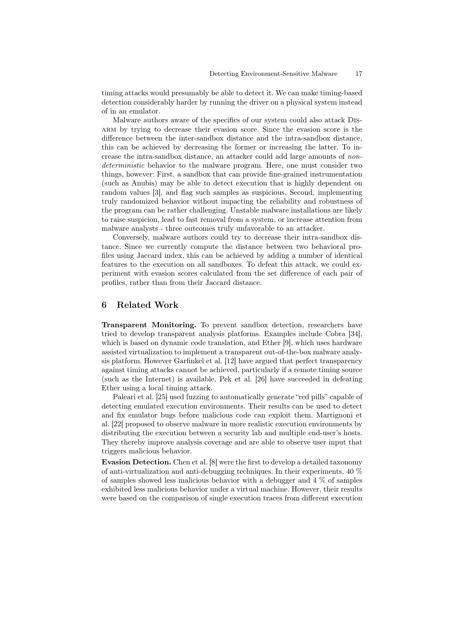timing attacks would presumably be able to detect it. We can make timing-based detection considerably harder by running the driver on a physical system instead of in an emulator.

Malware authors aware of the specifics of our system could also attack Disarm by trying to decrease their evasion score. Since the evasion score is the difference between the inter-sandbox distance and the intra-sandbox distance, this can be achieved by decreasing the former or increasing the latter. To increase the intra-sandbox distance, an attacker could add large amounts of nondeterministic behavior to the malware program. Here, one must consider two things, however: First, a sandbox that can provide fine-grained instrumentation (such as Anubis) may be able to detect execution that is highly dependent on random values [3], and flag such samples as suspicious. Second, implementing truly randomized behavior without impacting the reliability and robustness of the program can be rather challenging. Unstable malware installations are likely to raise suspicion, lead to fast removal from a system, or increase attention from malware analysts - three outcomes truly unfavorable to an attacker.

Conversely, malware authors could try to decrease their intra-sandbox distance. Since we currently compute the distance between two behavioral profiles using Jaccard index, this can be achieved by adding a number of identical features to the execution on all sandboxes. To defeat this attack, we could experiment with evasion scores calculated from the set difference of each pair of profiles, rather than from their Jaccard distance.

## 6 Related Work

Transparent Monitoring. To prevent sandbox detection, researchers have tried to develop transparent analysis platforms. Examples include Cobra [34], which is based on dynamic code translation, and Ether [9], which uses hardware assisted virtualization to implement a transparent out-of-the-box malware analysis platform. However Garfinkel et al. [12] have argued that perfect transparency against timing attacks cannot be achieved, particularly if a remote timing source (such as the Internet) is available. Pek et al. [26] have succeeded in defeating Ether using a local timing attack.

Paleari et al. [25] used fuzzing to automatically generate "red pills" capable of detecting emulated execution environments. Their results can be used to detect and fix emulator bugs before malicious code can exploit them. Martignoni et al. [22] proposed to observe malware in more realistic execution environments by distributing the execution between a security lab and multiple end-user's hosts. They thereby improve analysis coverage and are able to observe user input that triggers malicious behavior.

Evasion Detection. Chen et al. [8] were the first to develop a detailed taxonomy of anti-virtualization and anti-debugging techniques. In their experiments, 40 % of samples showed less malicious behavior with a debugger and 4 % of samples exhibited less malicious behavior under a virtual machine. However, their results were based on the comparison of single execution traces from different execution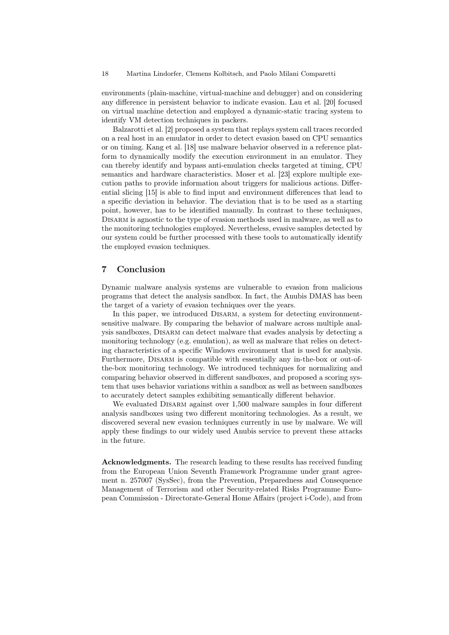environments (plain-machine, virtual-machine and debugger) and on considering any difference in persistent behavior to indicate evasion. Lau et al. [20] focused on virtual machine detection and employed a dynamic-static tracing system to identify VM detection techniques in packers.

Balzarotti et al. [2] proposed a system that replays system call traces recorded on a real host in an emulator in order to detect evasion based on CPU semantics or on timing. Kang et al. [18] use malware behavior observed in a reference platform to dynamically modify the execution environment in an emulator. They can thereby identify and bypass anti-emulation checks targeted at timing, CPU semantics and hardware characteristics. Moser et al. [23] explore multiple execution paths to provide information about triggers for malicious actions. Differential slicing [15] is able to find input and environment differences that lead to a specific deviation in behavior. The deviation that is to be used as a starting point, however, has to be identified manually. In contrast to these techniques, Disarm is agnostic to the type of evasion methods used in malware, as well as to the monitoring technologies employed. Nevertheless, evasive samples detected by our system could be further processed with these tools to automatically identify the employed evasion techniques.

## 7 Conclusion

Dynamic malware analysis systems are vulnerable to evasion from malicious programs that detect the analysis sandbox. In fact, the Anubis DMAS has been the target of a variety of evasion techniques over the years.

In this paper, we introduced DISARM, a system for detecting environmentsensitive malware. By comparing the behavior of malware across multiple analysis sandboxes, Disarm can detect malware that evades analysis by detecting a monitoring technology (e.g. emulation), as well as malware that relies on detecting characteristics of a specific Windows environment that is used for analysis. Furthermore, DISARM is compatible with essentially any in-the-box or out-ofthe-box monitoring technology. We introduced techniques for normalizing and comparing behavior observed in different sandboxes, and proposed a scoring system that uses behavior variations within a sandbox as well as between sandboxes to accurately detect samples exhibiting semantically different behavior.

We evaluated DISARM against over 1,500 malware samples in four different analysis sandboxes using two different monitoring technologies. As a result, we discovered several new evasion techniques currently in use by malware. We will apply these findings to our widely used Anubis service to prevent these attacks in the future.

Acknowledgments. The research leading to these results has received funding from the European Union Seventh Framework Programme under grant agreement n. 257007 (SysSec), from the Prevention, Preparedness and Consequence Management of Terrorism and other Security-related Risks Programme European Commission - Directorate-General Home Affairs (project i-Code), and from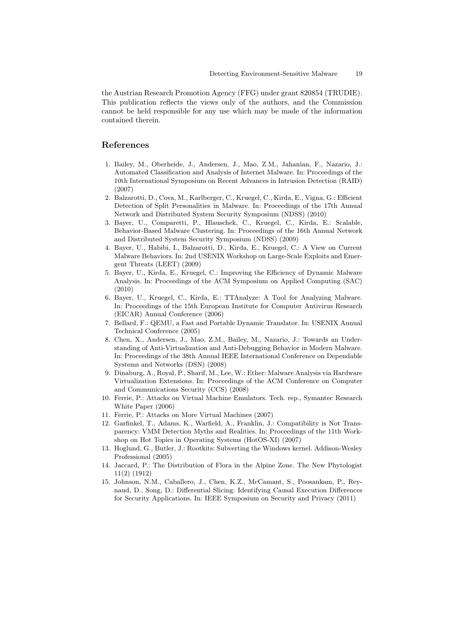the Austrian Research Promotion Agency (FFG) under grant 820854 (TRUDIE). This publication reflects the views only of the authors, and the Commission cannot be held responsible for any use which may be made of the information contained therein.

## References

- 1. Bailey, M., Oberheide, J., Andersen, J., Mao, Z.M., Jahanian, F., Nazario, J.: Automated Classification and Analysis of Internet Malware. In: Proceedings of the 10th International Symposium on Recent Advances in Intrusion Detection (RAID) (2007)
- 2. Balzarotti, D., Cova, M., Karlberger, C., Kruegel, C., Kirda, E., Vigna, G.: Efficient Detection of Split Personalities in Malware. In: Proceedings of the 17th Annual Network and Distributed System Security Symposium (NDSS) (2010)
- 3. Bayer, U., Comparetti, P., Hlauschek, C., Kruegel, C., Kirda, E.: Scalable, Behavior-Based Malware Clustering. In: Proceedings of the 16th Annual Network and Distributed System Security Symposium (NDSS) (2009)
- 4. Bayer, U., Habibi, I., Balzarotti, D., Kirda, E., Kruegel, C.: A View on Current Malware Behaviors. In: 2nd USENIX Workshop on Large-Scale Exploits and Emergent Threats (LEET) (2009)
- 5. Bayer, U., Kirda, E., Kruegel, C.: Improving the Efficiency of Dynamic Malware Analysis. In: Proceedings of the ACM Symposium on Applied Computing (SAC) (2010)
- 6. Bayer, U., Kruegel, C., Kirda, E.: TTAnalyze: A Tool for Analyzing Malware. In: Proceedings of the 15th European Institute for Computer Antivirus Research (EICAR) Annual Conference (2006)
- 7. Bellard, F.: QEMU, a Fast and Portable Dynamic Translator. In: USENIX Annual Technical Conference (2005)
- 8. Chen, X., Andersen, J., Mao, Z.M., Bailey, M., Nazario, J.: Towards an Understanding of Anti-Virtualization and Anti-Debugging Behavior in Modern Malware. In: Proceedings of the 38th Annual IEEE International Conference on Dependable Systems and Networks (DSN) (2008)
- 9. Dinaburg, A., Royal, P., Sharif, M., Lee, W.: Ether: Malware Analysis via Hardware Virtualization Extensions. In: Proceedings of the ACM Conference on Computer and Communications Security (CCS) (2008)
- 10. Ferrie, P.: Attacks on Virtual Machine Emulators. Tech. rep., Symantec Research White Paper (2006)
- 11. Ferrie, P.: Attacks on More Virtual Machines (2007)
- 12. Garfinkel, T., Adams, K., Warfield, A., Franklin, J.: Compatibility is Not Transparency: VMM Detection Myths and Realities. In: Proceedings of the 11th Workshop on Hot Topics in Operating Systems (HotOS-XI) (2007)
- 13. Hoglund, G., Butler, J.: Rootkits: Subverting the Windows kernel. Addison-Wesley Professional (2005)
- 14. Jaccard, P.: The Distribution of Flora in the Alpine Zone. The New Phytologist 11(2) (1912)
- 15. Johnson, N.M., Caballero, J., Chen, K.Z., McCamant, S., Poosankam, P., Reynaud, D., Song, D.: Differential Slicing: Identifying Causal Execution Differences for Security Applications. In: IEEE Symposium on Security and Privacy (2011)